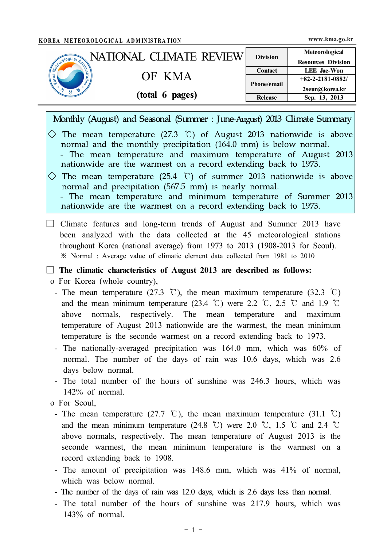÷,

| KOREA METEOROLOGICAL ADMINISTRATION<br><b>NATIONAL CLIMATE REVIEW</b>                                                                                                                                                                                                                                                   | <b>Division</b> | Meteorological                                  |
|-------------------------------------------------------------------------------------------------------------------------------------------------------------------------------------------------------------------------------------------------------------------------------------------------------------------------|-----------------|-------------------------------------------------|
| Seguidosical Adaptation                                                                                                                                                                                                                                                                                                 | <b>Contact</b>  | <b>Resources Division</b><br><b>LEE</b> Jae-Won |
| OF KMA                                                                                                                                                                                                                                                                                                                  | Phone/email     | $+82 - 2 - 2181 - 0882/$                        |
| (total 6 pages)                                                                                                                                                                                                                                                                                                         | <b>Release</b>  | 2seun@korea.kr<br>Sep. 13, 2013                 |
| The mean temperature (27.3 $\degree$ C) of August 2013 nationwide is above<br>normal and the monthly precipitation (164.0 mm) is below normal.<br>- The mean temperature and maximum temperature of August 2013<br>nationwide are the warmest on a record extending back to 1973.                                       |                 |                                                 |
| The mean temperature $(25.4 \text{ }^{\circ}\text{C})$ of summer 2013 nationwide is above<br>$\left\langle {}\right\rangle$<br>normal and precipitation (567.5 mm) is nearly normal.<br>- The mean temperature and minimum temperature of Summer 2013<br>nationwide are the warmest on a record extending back to 1973. |                 |                                                 |

o For Korea (whole country),

- The mean temperature (27.3 °C), the mean maximum temperature (32.3 °C) and the mean minimum temperature (23.4 °C) were 2.2 °C, 2.5 °C and 1.9 °C above normals, respectively. The mean temperature and maximum temperature of August 2013 nationwide are the warmest, the mean minimum temperature is the seconde warmest on a record extending back to 1973.
- The nationally-averaged precipitation was 164.0 mm, which was 60% of normal. The number of the days of rain was 10.6 days, which was 2.6 days below normal.
- The total number of the hours of sunshine was 246.3 hours, which was 142% of normal.
- o For Seoul,
- The mean temperature (27.7 °C), the mean maximum temperature (31.1 °C) and the mean minimum temperature (24.8 °C) were 2.0 °C, 1.5 °C and 2.4 °C above normals, respectively. The mean temperature of August 2013 is the seconde warmest, the mean minimum temperature is the warmest on a record extending back to 1908.
- The amount of precipitation was 148.6 mm, which was 41% of normal, which was below normal.
- The number of the days of rain was 12.0 days, which is 2.6 days less than normal.
- The total number of the hours of sunshine was 217.9 hours, which was 143% of normal.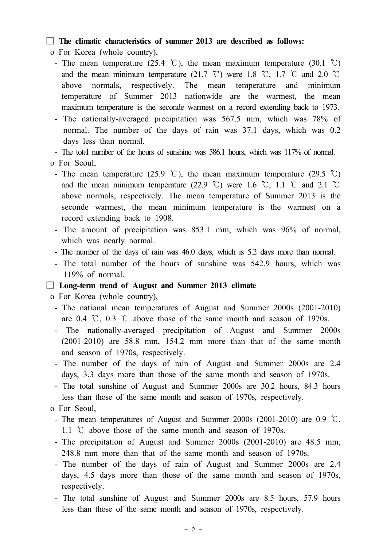### □ **The climatic characteristics of summer 2013 are described as follows:**

- o For Korea (whole country),
	- The mean temperature (25.4 °C), the mean maximum temperature (30.1 °C) and the mean minimum temperature (21.7 °C) were 1.8 °C, 1.7 °C and 2.0 °C above normals, respectively. The mean temperature and minimum temperature of Summer 2013 nationwide are the warmest, the mean maximum temperature is the seconde warmest on a record extending back to 1973.
	- The nationally-averaged precipitation was 567.5 mm, which was 78% of normal. The number of the days of rain was 37.1 days, which was 0.2 days less than normal.

- The total number of the hours of sunshine was 586.1 hours, which was 117% of normal.

#### o For Seoul,

- The mean temperature (25.9 °C), the mean maximum temperature (29.5 °C) and the mean minimum temperature (22.9 °C) were 1.6 °C, 1.1 °C and 2.1 °C above normals, respectively. The mean temperature of Summer 2013 is the seconde warmest, the mean minimum temperature is the warmest on a record extending back to 1908.
- The amount of precipitation was 853.1 mm, which was 96% of normal, which was nearly normal.
- The number of the days of rain was 46.0 days, which is 5.2 days more than normal.
- The total number of the hours of sunshine was 542.9 hours, which was 119% of normal.

### □ **Long-term trend of August and Summer 2013 climate**

o For Korea (whole country),

- The national mean temperatures of August and Summer 2000s (2001-2010) are 0.4 ℃, 0.3 ℃ above those of the same month and season of 1970s.
- The nationally-averaged precipitation of August and Summer 2000s (2001-2010) are 58.8 mm, 154.2 mm more than that of the same month and season of 1970s, respectively.
- The number of the days of rain of August and Summer 2000s are 2.4 days, 3.3 days more than those of the same month and season of 1970s.
- The total sunshine of August and Summer 2000s are 30.2 hours, 84.3 hours less than those of the same month and season of 1970s, respectively. o For Seoul,
- 
- The mean temperatures of August and Summer 2000s (2001-2010) are 0.9 ℃, 1.1 ℃ above those of the same month and season of 1970s.
- The precipitation of August and Summer 2000s (2001-2010) are 48.5 mm, 248.8 mm more than that of the same month and season of 1970s.
- The number of the days of rain of August and Summer 2000s are 2.4 days, 4.5 days more than those of the same month and season of 1970s, respectively.
- The total sunshine of August and Summer 2000s are 8.5 hours, 57.9 hours less than those of the same month and season of 1970s, respectively.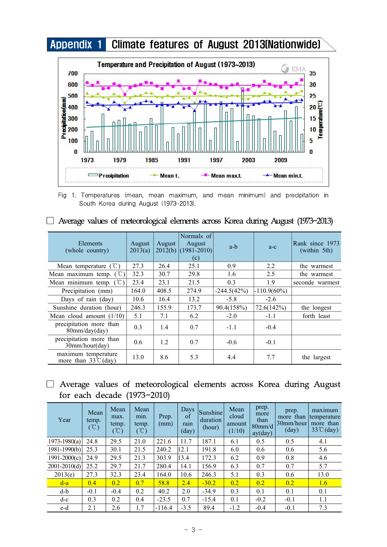



Fig 1. Temperatures (mean, mean maximum, and mean minimum) and precipitation in South Korea during August (1973-2013).

| —————————————————————              |                   | Œ      |                                                      |               |                |                                 |
|------------------------------------|-------------------|--------|------------------------------------------------------|---------------|----------------|---------------------------------|
| <b>Elements</b><br>(whole country) | August<br>2013(a) | August | Normals of<br>August<br>$2012(b)$ (1981-2010)<br>(c) | a-b           | $a-c$          | Rank since 1973<br>(within 5th) |
| Mean temperature $(\mathcal{C})$   | 27.3              | 26.4   | 25.1                                                 | 0.9           | 2.2            | the warmest                     |
| Mean maximum temp. $({\cal C})$    | 32.3              | 30.7   | 29.8                                                 | 1.6           | 2.5            | the warmest                     |
| Mean minimum temp. $({\degree}C)$  | 23.4              | 23.1   | 21.5                                                 | 0.3           | 1.9            | seconde warmest                 |
| Precipitation (mm)                 | 164.0             | 408.5  | 274.9                                                | $-244.5(42%)$ | $-110.9(60\%)$ |                                 |
| Days of rain (day)                 | 10.6              | 16.4   | 13.2                                                 | $-5.8$        | $-2.6$         |                                 |
| Sunshine duration (hour)           | 246.3             | 155.9  | 173.7                                                | 90.4(158%)    | 72.6(142%)     | the longest                     |
| Mean cloud amount $(1/10)$         | 5.1               | 7.1    | 6.2                                                  | $-2.0$        | -1.1           | forth least                     |

Expiration more than  $\begin{vmatrix} 0.3 \\ 1.4 \end{vmatrix}$  0.7 -1.1 -0.4

cipitation more than  $\begin{array}{|l|c|c|c|c|c|c|c|} \hline 30mm/hour/day) & 0.6 & 1.2 & 0.7 & -0.6 & -0.1 \ \hline \end{array}$ 

precipitation more than

precipitation more than

|  |  | $\Box$ Average values of meteorological elements across Korea during August (1973~2013) |  |  |  |  |
|--|--|-----------------------------------------------------------------------------------------|--|--|--|--|
|  |  |                                                                                         |  |  |  |  |

## □ Average values of meteorological elements across Korea during August for each decade (1973~2010)

maximum temperature  $\begin{array}{|l|c|c|c|c|c|c|c|c|} \hline \text{maximum temperature} & 13.0 & 8.6 & 5.3 & 4.4 & 7.7 & \text{the largest} \end{array}$ 

| Year             | Mean<br>temp.<br>$(\mathcal{C})$ | Mean<br>max.<br>temp.<br>$(\degree C)$ | Mean<br>min.<br>temp.<br>$(\degree\text{C})$ | Prep.<br>(mm) | Days<br>of<br>rain<br>$\text{(day)}$ | <b>Sunshine</b><br>duration<br>(hour) | Mean<br>cloud<br>amount<br>(1/10) | prep.<br>more<br>than<br>$80$ mm/d<br>ay (day) | prep.<br>more than<br> 30mm/hour <br>$\text{(day)}$ | maximum<br>temperature<br>more than<br>$33^{\circ}$ C(day) |
|------------------|----------------------------------|----------------------------------------|----------------------------------------------|---------------|--------------------------------------|---------------------------------------|-----------------------------------|------------------------------------------------|-----------------------------------------------------|------------------------------------------------------------|
| $1973 - 1980(a)$ | 24.8                             | 29.5                                   | 21.0                                         | 221.6         | 11.7                                 | 187.1                                 | 6.1                               | 0.5                                            | 0.5                                                 | 4.1                                                        |
| $1981 - 1990(b)$ | 25.3                             | 30.1                                   | 21.5                                         | 240.2         | 12.1                                 | 191.8                                 | 6.0                               | 0.6                                            | 0.6                                                 | 5.6                                                        |
| $1991 - 2000(c)$ | 24.9                             | 29.5                                   | 21.3                                         | 303.9         | 13.4                                 | 172.3                                 | 6.2                               | 0.9                                            | 0.8                                                 | 4.6                                                        |
| $2001 - 2010(d)$ | 25.2                             | 29.7                                   | 21.7                                         | 280.4         | 14.1                                 | 156.9                                 | 6.3                               | 0.7                                            | 0.7                                                 | 5.7                                                        |
| 2013(e)          | 27.3                             | 32.3                                   | 23.4                                         | 164.0         | 10.6                                 | 246.3                                 | 5.1                               | 0.3                                            | 0.6                                                 | 13.0                                                       |
| $d-a$            | 0.4                              | 0.2                                    | 0.7                                          | 58.8          | 2.4                                  | $-30.2$                               | 0.2                               | 0.2                                            | 0.2                                                 | 1.6                                                        |
| d-b              | $-0.1$                           | $-0.4$                                 | 0.2                                          | 40.2          | 2.0                                  | $-34.9$                               | 0.3                               | 0.1                                            | 0.1                                                 | 0.1                                                        |
| $d-c$            | 0.3                              | 0.2                                    | 0.4                                          | $-23.5$       | 0.7                                  | $-15.4$                               | 0.1                               | $-0.2$                                         | $-0.1$                                              | 1.1                                                        |
| e-d              | 2.1                              | 2.6                                    | 1.7                                          | $-116.4$      | $-3.5$                               | 89.4                                  | $-1.2$                            | $-0.4$                                         | $-0.1$                                              | 7.3                                                        |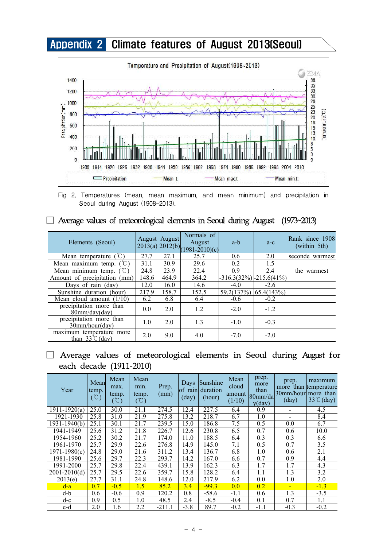

Fig 2. Temperatures (mean, mean maximum, and mean minimum) and precipitation in Seoul during August (1908-2013).

| ັ                                                   |       |               |                                                                                                                   |                               |            |                                 |
|-----------------------------------------------------|-------|---------------|-------------------------------------------------------------------------------------------------------------------|-------------------------------|------------|---------------------------------|
| Elements (Seoul)                                    |       | August August | Normals of<br>August<br>$\left  \frac{2013(a)}{2012(b)} \right  \left  \frac{1981-2010(c)}{1981-2010(c)} \right $ | a-b                           | $a-c$      | Rank since 1908<br>(within 5th) |
| T.<br>Mean temperature                              | 27.7  | 27.1          | 25.7                                                                                                              | 0.6                           | 2.0        | seconde warmest                 |
| Mean maximum temp.                                  | 31.1  | 30.9          | 29.6                                                                                                              | 0.2                           | 1.5        |                                 |
| $(^\circ \mathbb{C})$<br>Mean minimum temp.         | 24.8  | 23.9          | 22.4                                                                                                              | 0.9                           | 2.4        | the warmest                     |
| Amount of precipitation<br>(mm)                     | 148.6 | 464.9         | 364.2                                                                                                             | $-316.3(32\%)$ $-215.6(41\%)$ |            |                                 |
| Days of rain (day)                                  | 12.0  | 16.0          | 14.6                                                                                                              | $-4.0$                        | $-2.6$     |                                 |
| Sunshine duration (hour)                            | 217.9 | 158.7         | 152.5                                                                                                             | 59.2(137%)                    | 65.4(143%) |                                 |
| Mean cloud amount $(1/10)$                          | 6.2   | 6.8           | 6.4                                                                                                               | $-0.6$                        | $-0.2$     |                                 |
| precipitation more than<br>80mm/day/day)            | 0.0   | 2.0           | 1.2                                                                                                               | $-2.0$                        | $-1.2$     |                                 |
| precipitation more than<br>30mm/hour/day)           | 1.0   | 2.0           | 1.3                                                                                                               | $-1.0$                        | $-0.3$     |                                 |
| maximum temperature more<br>than $33^{\circ}$ (day) | 2.0   | 9.0           | 4.0                                                                                                               | $-7.0$                        | $-2.0$     |                                 |

### $\Box$  Average values of meteorological elements in Seoul during August (1973~2013)

# □ Average values of meteorological elements in Seoul during August for each decade (1911-2010)

| Year                        | Mean<br>temp.<br>$(\mathcal{C})$ | Mean<br>max.<br>temp.<br>$(\degree\text{C})$ | Mean<br>min.<br>temp.<br>$({\rm ^{\circ}\!C})$ | Prep.<br>(mm) | of rain<br>$\frac{day}{y}$ | Days Sunshine<br>duration<br>(hour) | Mean<br>cloud<br>amount<br>(1/10) | prep.<br>more<br>than<br>80mm/da<br>y (day) | prep.<br>30mm/hour  more than<br>$\frac{day}{y}$ | maximum<br>more than temperature<br>$33^{\circ}$ (day) |
|-----------------------------|----------------------------------|----------------------------------------------|------------------------------------------------|---------------|----------------------------|-------------------------------------|-----------------------------------|---------------------------------------------|--------------------------------------------------|--------------------------------------------------------|
| $\overline{1911} - 1920(a)$ | 25.0                             | 30.0                                         | 21.1                                           | 274.5         | 12.4                       | 227.5                               | 6.4                               | 0.9                                         |                                                  | 4.5                                                    |
| 1921-1930                   | 25.8                             | 31.0                                         | 21.9                                           | 275.8         | 13.2                       | 218.7                               | 6.7                               | 1.0                                         |                                                  | 8.4                                                    |
| $1931 - 1940(b)$            | 25.1                             | 30.1                                         | 21.7                                           | 239.5         | 15.0                       | 186.8                               | 7.5                               | 0.5                                         | 0.0                                              | 6.7                                                    |
| 1941-1949                   | 25.6                             | 31.2                                         | 21.8                                           | 226.7         | 12.6                       | 230.8                               | 6.5                               | 0.7                                         | 0.6                                              | 10.0                                                   |
| 1954-1960                   | 25.2                             | 30.2                                         | 21.7                                           | 174.0         | 11.0                       | 188.5                               | 6.4                               | 0.3                                         | 0.3                                              | 6.6                                                    |
| 1961-1970                   | 25.7                             | 29.9                                         | 22.6                                           | 276.8         | 14.9                       | 145.0                               | 7.1                               | 0.5                                         | 0.7                                              | 3.5                                                    |
| $1971 - 1980(c)$            | 24.8                             | 29.0                                         | 21.6                                           | 311.2         | 13.4                       | 136.7                               | 6.8                               | 1.0                                         | 0.6                                              | 2.1                                                    |
| 1981-1990                   | 25.6                             | 29.7                                         | 22.3                                           | 293.7         | 14.2                       | 167.0                               | 6.6                               | 0.7                                         | 0.9                                              | 4.4                                                    |
| 1991-2000                   | 25.7                             | 29.8                                         | 22.4                                           | 439.1         | 13.9                       | 162.3                               | 6.3                               | 1.7                                         | 1.7                                              | 4.3                                                    |
| $2001 - 2010(d)$            | 25.7                             | 29.5                                         | 22.6                                           | 359.7         | 15.8                       | 128.2                               | 6.4                               | 1.1                                         | 1.3                                              | 3.2                                                    |
| 2013(e)                     | 27.7                             | 31.1                                         | 24.8                                           | 148.6         | 12.0                       | 217.9                               | 6.2                               | 0.0                                         | 1.0                                              | 2.0                                                    |
| $d-a$                       | 0.7                              | $-0.5$                                       | 1.5                                            | 85.2          | 3.4                        | $-99.3$                             | 0.0                               | 0.2                                         | $\blacksquare$                                   | $-1.3$                                                 |
| d-b                         | 0.6                              | $-0.6$                                       | 0.9                                            | 120.2         | 0.8                        | $-58.6$                             | $-1.1$                            | 0.6                                         | 1.3                                              | $-3.5$                                                 |
| $d-c$                       | 0.9                              | 0.5                                          | 1.0                                            | 48.5          | 2.4                        | $-8.5$                              | $-0.4$                            | 0.1                                         | 0.7                                              | 1.1                                                    |
| e-d                         | 2.0                              | 1.6                                          | 2.2                                            | $-211.1$      | $-3.8$                     | 89.7                                | $-0.2$                            | -1.1                                        | $-0.3$                                           | $-0.2$                                                 |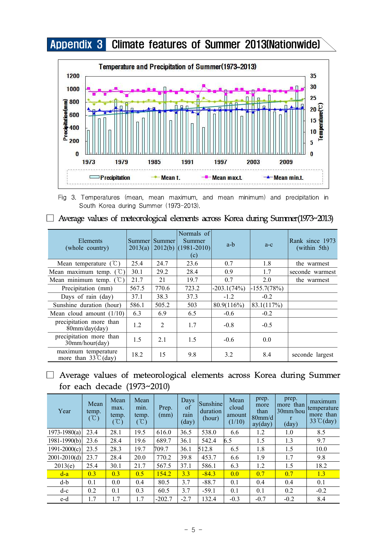Appendix 3 Climate features of Summer 2013(Nationwide)



Fig 3. Temperatures (mean, mean maximum, and mean minimum) and precipitation in South Korea during Summer (1973-2013).

| Elements<br>(whole country)                           | 2013(a) | Summer   Summer | Normals of<br>Summer<br>$2012(b)$ (1981-2010)<br>(c) | a-b           | $a-c$         | Rank since 1973<br>(within 5th) |
|-------------------------------------------------------|---------|-----------------|------------------------------------------------------|---------------|---------------|---------------------------------|
| Mean temperature $(\mathcal{C})$                      | 25.4    | 24.7            | 23.6                                                 | 0.7           | 1.8           | the warmest                     |
| Mean maximum temp. $({\cal C})$                       | 30.1    | 29.2            | 28.4                                                 | 0.9           | 1.7           | seconde warmest                 |
| Mean minimum temp. $({\mathbb C})$                    | 21.7    | 21              | 19.7                                                 | 0.7           | 2.0           | the warmest                     |
| Precipitation (mm)                                    | 567.5   | 770.6           | 723.2                                                | $-203.1(74%)$ | $-155.7(78%)$ |                                 |
| Days of rain (day)                                    | 37.1    | 38.3            | 37.3                                                 | $-1.2$        | $-0.2$        |                                 |
| Sunshine duration (hour)                              | 586.1   | 505.2           | 503                                                  | 80.9(116%)    | 83.1(117%)    |                                 |
| Mean cloud amount $(1/10)$                            | 6.3     | 6.9             | 6.5                                                  | $-0.6$        | $-0.2$        |                                 |
| precipitation more than<br>$80$ mm/day(day)           | 1.2     | $\overline{2}$  | 1.7                                                  | $-0.8$        | $-0.5$        |                                 |
| precipitation more than<br>30mm/hour/day)             | 1.5     | 2.1             | 1.5                                                  | $-0.6$        | 0.0           |                                 |
| maximum temperature<br>more than $33^{\circ}$ C (day) | 18.2    | 15              | 9.8                                                  | 3.2           | 8.4           | seconde largest                 |

|  |  | $\Box$ Average values of meteorological elements across Korea during Summer(1973~2013) |  |  |  |  |
|--|--|----------------------------------------------------------------------------------------|--|--|--|--|
|  |  |                                                                                        |  |  |  |  |

## □ Average values of meteorological elements across Korea during Summer for each decade (1973~2010)

| Year             | Mean<br>temp.<br>$\hat{C}$ | Mean<br>max.<br>temp.<br>$^{\circ}\!{\rm C}$ ) | Mean<br>min.<br>temp.<br>$(\degree C)$ | Prep.<br>(mm) | Days<br>of<br>rain<br>$\text{(day)}$ | <b>Sunshine</b><br>duration<br>(hour) | Mean<br>cloud<br>amount<br>(1/10) | prep.<br>more<br>than<br>80mm/d<br>ay (day) | prep.<br>more than<br>$30$ mm/hou<br>$\mathbf{r}$<br>$\frac{day}{ }$ | maximum<br>temperature<br>more than<br>$33^{\circ}$ C(day) |
|------------------|----------------------------|------------------------------------------------|----------------------------------------|---------------|--------------------------------------|---------------------------------------|-----------------------------------|---------------------------------------------|----------------------------------------------------------------------|------------------------------------------------------------|
| $1973 - 1980(a)$ | 23.4                       | 28.1                                           | 19.5                                   | 616.0         | 36.5                                 | 538.0                                 | 6.6                               | 1.2                                         | 1.0                                                                  | 8.5                                                        |
| $1981 - 1990(b)$ | 23.6                       | 28.4                                           | 19.6                                   | 689.7         | 36.1                                 | 542.4                                 | 6.5                               | 1.5                                         | 1.3                                                                  | 9.7                                                        |
| $1991 - 2000(c)$ | 23.5                       | 28.3                                           | 19.7                                   | 709.7         | 36.1                                 | 512.8                                 | 6.5                               | 1.8                                         | 1.5                                                                  | 10.0                                                       |
| $2001 - 2010(d)$ | 23.7                       | 28.4                                           | 20.0                                   | 770.2         | 39.8                                 | 453.7                                 | 6.6                               | 1.9                                         | 1.7                                                                  | 9.8                                                        |
| 2013(e)          | 25.4                       | 30.1                                           | 21.7                                   | 567.5         | 37.1                                 | 586.1                                 | 6.3                               | 1.2                                         | 1.5                                                                  | 18.2                                                       |
| $d-a$            | 0.3                        | 0.3                                            | 0.5                                    | 154.2         | 3.3                                  | $-84.3$                               | 0.0                               | 0.7                                         | 0.7                                                                  | 1.3                                                        |
| d-b              | 0.1                        | 0.0                                            | 0.4                                    | 80.5          | 3.7                                  | $-88.7$                               | 0.1                               | 0.4                                         | 0.4                                                                  | 0.1                                                        |
| $d-c$            | 0.2                        | 0.1                                            | 0.3                                    | 60.5          | 3.7                                  | $-59.1$                               | 0.1                               | 0.1                                         | 0.2                                                                  | $-0.2$                                                     |
| e-d              | 1.7                        | 1.7                                            | 1.7                                    | $-202.7$      | $-2.7$                               | 132.4                                 | $-0.3$                            | $-0.7$                                      | $-0.2$                                                               | 8.4                                                        |